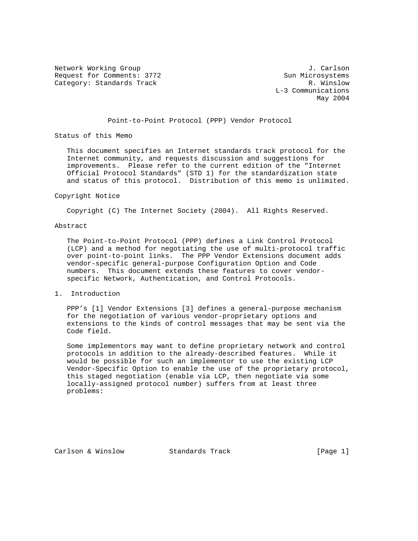Network Working Group J. Carlson Request for Comments: 3772<br>Category: Standards Track Gategory: Standards Track Category: Standards Track

 L-3 Communications May 2004

## Point-to-Point Protocol (PPP) Vendor Protocol

Status of this Memo

 This document specifies an Internet standards track protocol for the Internet community, and requests discussion and suggestions for improvements. Please refer to the current edition of the "Internet Official Protocol Standards" (STD 1) for the standardization state and status of this protocol. Distribution of this memo is unlimited.

#### Copyright Notice

Copyright (C) The Internet Society (2004). All Rights Reserved.

### Abstract

 The Point-to-Point Protocol (PPP) defines a Link Control Protocol (LCP) and a method for negotiating the use of multi-protocol traffic over point-to-point links. The PPP Vendor Extensions document adds vendor-specific general-purpose Configuration Option and Code numbers. This document extends these features to cover vendor specific Network, Authentication, and Control Protocols.

## 1. Introduction

 PPP's [1] Vendor Extensions [3] defines a general-purpose mechanism for the negotiation of various vendor-proprietary options and extensions to the kinds of control messages that may be sent via the Code field.

 Some implementors may want to define proprietary network and control protocols in addition to the already-described features. While it would be possible for such an implementor to use the existing LCP Vendor-Specific Option to enable the use of the proprietary protocol, this staged negotiation (enable via LCP, then negotiate via some locally-assigned protocol number) suffers from at least three problems:

Carlson & Winslow Standards Track [Page 1]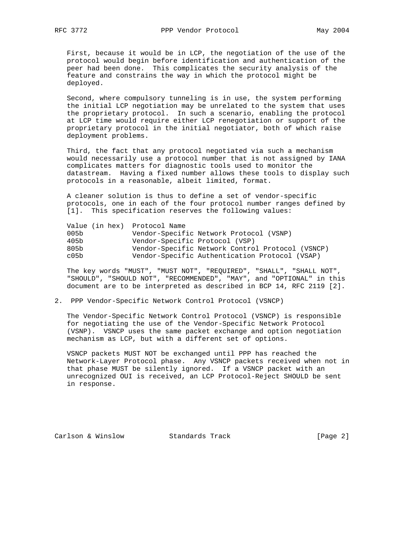First, because it would be in LCP, the negotiation of the use of the protocol would begin before identification and authentication of the peer had been done. This complicates the security analysis of the feature and constrains the way in which the protocol might be deployed.

 Second, where compulsory tunneling is in use, the system performing the initial LCP negotiation may be unrelated to the system that uses the proprietary protocol. In such a scenario, enabling the protocol at LCP time would require either LCP renegotiation or support of the proprietary protocol in the initial negotiator, both of which raise deployment problems.

 Third, the fact that any protocol negotiated via such a mechanism would necessarily use a protocol number that is not assigned by IANA complicates matters for diagnostic tools used to monitor the datastream. Having a fixed number allows these tools to display such protocols in a reasonable, albeit limited, format.

 A cleaner solution is thus to define a set of vendor-specific protocols, one in each of the four protocol number ranges defined by [1]. This specification reserves the following values:

| 005b | Vendor-Specific Network Protocol (VSNP)                        |
|------|----------------------------------------------------------------|
| 405b |                                                                |
| 805b | Vendor-Specific Network Control Protocol (VSNCP)               |
| c05b | Vendor-Specific Authentication Protocol (VSAP)                 |
|      | Value (in hex) Protocol Name<br>Vendor-Specific Protocol (VSP) |

 The key words "MUST", "MUST NOT", "REQUIRED", "SHALL", "SHALL NOT", "SHOULD", "SHOULD NOT", "RECOMMENDED", "MAY", and "OPTIONAL" in this document are to be interpreted as described in BCP 14, RFC 2119 [2].

2. PPP Vendor-Specific Network Control Protocol (VSNCP)

 The Vendor-Specific Network Control Protocol (VSNCP) is responsible for negotiating the use of the Vendor-Specific Network Protocol (VSNP). VSNCP uses the same packet exchange and option negotiation mechanism as LCP, but with a different set of options.

 VSNCP packets MUST NOT be exchanged until PPP has reached the Network-Layer Protocol phase. Any VSNCP packets received when not in that phase MUST be silently ignored. If a VSNCP packet with an unrecognized OUI is received, an LCP Protocol-Reject SHOULD be sent in response.

Carlson & Winslow Standards Track [Page 2]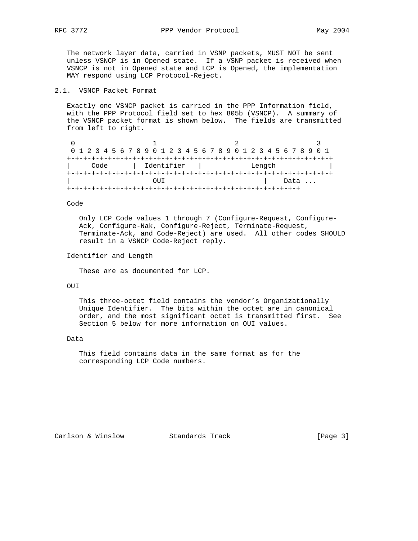The network layer data, carried in VSNP packets, MUST NOT be sent unless VSNCP is in Opened state. If a VSNP packet is received when VSNCP is not in Opened state and LCP is Opened, the implementation MAY respond using LCP Protocol-Reject.

# 2.1. VSNCP Packet Format

 Exactly one VSNCP packet is carried in the PPP Information field, with the PPP Protocol field set to hex 805b (VSNCP). A summary of the VSNCP packet format is shown below. The fields are transmitted from left to right.

|  |      |  |  |  |                           |  |  |  |  |  |        |  | 0 1 2 3 4 5 6 7 8 9 0 1 2 3 4 5 6 7 8 9 0 1 2 3 4 5 6 7 8 9 0 1 |  |  |
|--|------|--|--|--|---------------------------|--|--|--|--|--|--------|--|-----------------------------------------------------------------|--|--|
|  |      |  |  |  | -+-+-+-+-+-+-+-+-+-+-+-+- |  |  |  |  |  |        |  |                                                                 |  |  |
|  | Code |  |  |  | Identifier                |  |  |  |  |  | Length |  |                                                                 |  |  |
|  |      |  |  |  |                           |  |  |  |  |  |        |  |                                                                 |  |  |
|  |      |  |  |  |                           |  |  |  |  |  |        |  | Data                                                            |  |  |
|  |      |  |  |  |                           |  |  |  |  |  |        |  |                                                                 |  |  |

Code

 Only LCP Code values 1 through 7 (Configure-Request, Configure- Ack, Configure-Nak, Configure-Reject, Terminate-Request, Terminate-Ack, and Code-Reject) are used. All other codes SHOULD result in a VSNCP Code-Reject reply.

Identifier and Length

These are as documented for LCP.

OUI

 This three-octet field contains the vendor's Organizationally Unique Identifier. The bits within the octet are in canonical order, and the most significant octet is transmitted first. See Section 5 below for more information on OUI values.

Data

 This field contains data in the same format as for the corresponding LCP Code numbers.

Carlson & Winslow Standards Track [Page 3]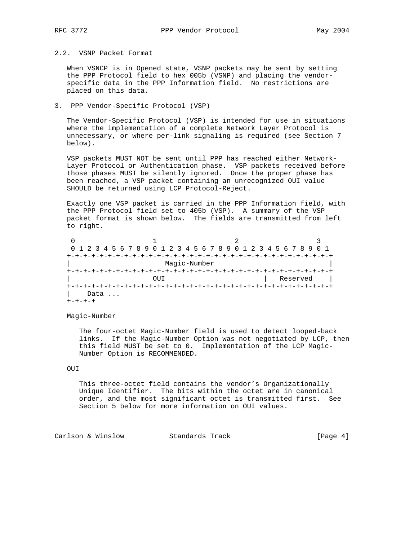2.2. VSNP Packet Format

 When VSNCP is in Opened state, VSNP packets may be sent by setting the PPP Protocol field to hex 005b (VSNP) and placing the vendor specific data in the PPP Information field. No restrictions are placed on this data.

3. PPP Vendor-Specific Protocol (VSP)

 The Vendor-Specific Protocol (VSP) is intended for use in situations where the implementation of a complete Network Layer Protocol is unnecessary, or where per-link signaling is required (see Section 7 below).

 VSP packets MUST NOT be sent until PPP has reached either Network- Layer Protocol or Authentication phase. VSP packets received before those phases MUST be silently ignored. Once the proper phase has been reached, a VSP packet containing an unrecognized OUI value SHOULD be returned using LCP Protocol-Reject.

 Exactly one VSP packet is carried in the PPP Information field, with the PPP Protocol field set to 405b (VSP). A summary of the VSP packet format is shown below. The fields are transmitted from left to right.

|      | 0 1 2 3 4 5 6 7 8 9 0 1 2 3 4 5 6 7 8 9 0 1 2 3 4 5 6 7 8 9 |                | 0 1 |  |  |  |  |  |  |  |
|------|-------------------------------------------------------------|----------------|-----|--|--|--|--|--|--|--|
|      |                                                             |                |     |  |  |  |  |  |  |  |
|      | Magic-Number                                                |                |     |  |  |  |  |  |  |  |
|      |                                                             |                |     |  |  |  |  |  |  |  |
|      | OUT                                                         |                |     |  |  |  |  |  |  |  |
|      |                                                             | +-+-+-+-+-+-+- |     |  |  |  |  |  |  |  |
| Data |                                                             |                |     |  |  |  |  |  |  |  |
|      |                                                             |                |     |  |  |  |  |  |  |  |

Magic-Number

 The four-octet Magic-Number field is used to detect looped-back links. If the Magic-Number Option was not negotiated by LCP, then this field MUST be set to 0. Implementation of the LCP Magic- Number Option is RECOMMENDED.

## OUI

 This three-octet field contains the vendor's Organizationally Unique Identifier. The bits within the octet are in canonical order, and the most significant octet is transmitted first. See Section 5 below for more information on OUI values.

Carlson & Winslow Standards Track [Page 4]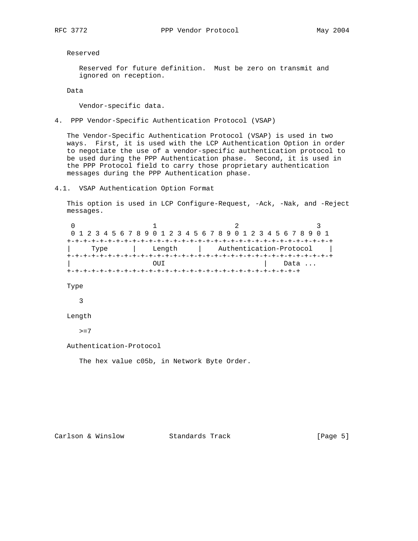Reserved

 Reserved for future definition. Must be zero on transmit and ignored on reception.

Data

Vendor-specific data.

4. PPP Vendor-Specific Authentication Protocol (VSAP)

 The Vendor-Specific Authentication Protocol (VSAP) is used in two ways. First, it is used with the LCP Authentication Option in order to negotiate the use of a vendor-specific authentication protocol to be used during the PPP Authentication phase. Second, it is used in the PPP Protocol field to carry those proprietary authentication messages during the PPP Authentication phase.

4.1. VSAP Authentication Option Format

 This option is used in LCP Configure-Request, -Ack, -Nak, and -Reject messages.

0  $1$  2 3 0 1 2 3 4 5 6 7 8 9 0 1 2 3 4 5 6 7 8 9 0 1 2 3 4 5 6 7 8 9 0 1 +-+-+-+-+-+-+-+-+-+-+-+-+-+-+-+-+-+-+-+-+-+-+-+-+-+-+-+-+-+-+-+-+ | Type | Length | Authentication-Protocol | +-+-+-+-+-+-+-+-+-+-+-+-+-+-+-+-+-+-+-+-+-+-+-+-+-+-+-+-+-+-+-+-+ OUI | Data ... +-+-+-+-+-+-+-+-+-+-+-+-+-+-+-+-+-+-+-+-+-+-+-+-+-+-+-+-+ Type 3 Length

 $>=7$ 

Authentication-Protocol

The hex value c05b, in Network Byte Order.

Carlson & Winslow Standards Track [Page 5]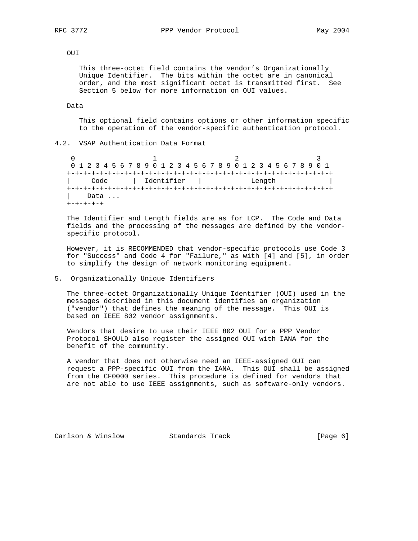# OUI

 This three-octet field contains the vendor's Organizationally Unique Identifier. The bits within the octet are in canonical order, and the most significant octet is transmitted first. See Section 5 below for more information on OUI values.

### Data

 This optional field contains options or other information specific to the operation of the vendor-specific authentication protocol.

# 4.2. VSAP Authentication Data Format

0  $1$  2 3 0 1 2 3 4 5 6 7 8 9 0 1 2 3 4 5 6 7 8 9 0 1 2 3 4 5 6 7 8 9 0 1 +-+-+-+-+-+-+-+-+-+-+-+-+-+-+-+-+-+-+-+-+-+-+-+-+-+-+-+-+-+-+-+-+ | Code | Identifier | Length | +-+-+-+-+-+-+-+-+-+-+-+-+-+-+-+-+-+-+-+-+-+-+-+-+-+-+-+-+-+-+-+-+ Data ... +-+-+-+-+

 The Identifier and Length fields are as for LCP. The Code and Data fields and the processing of the messages are defined by the vendor specific protocol.

 However, it is RECOMMENDED that vendor-specific protocols use Code 3 for "Success" and Code 4 for "Failure," as with [4] and [5], in order to simplify the design of network monitoring equipment.

# 5. Organizationally Unique Identifiers

 The three-octet Organizationally Unique Identifier (OUI) used in the messages described in this document identifies an organization ("vendor") that defines the meaning of the message. This OUI is based on IEEE 802 vendor assignments.

 Vendors that desire to use their IEEE 802 OUI for a PPP Vendor Protocol SHOULD also register the assigned OUI with IANA for the benefit of the community.

 A vendor that does not otherwise need an IEEE-assigned OUI can request a PPP-specific OUI from the IANA. This OUI shall be assigned from the CF0000 series. This procedure is defined for vendors that are not able to use IEEE assignments, such as software-only vendors.

Carlson & Winslow Standards Track [Page 6]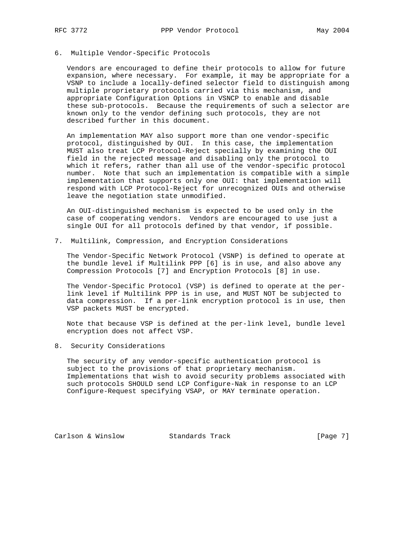# 6. Multiple Vendor-Specific Protocols

 Vendors are encouraged to define their protocols to allow for future expansion, where necessary. For example, it may be appropriate for a VSNP to include a locally-defined selector field to distinguish among multiple proprietary protocols carried via this mechanism, and appropriate Configuration Options in VSNCP to enable and disable these sub-protocols. Because the requirements of such a selector are known only to the vendor defining such protocols, they are not described further in this document.

 An implementation MAY also support more than one vendor-specific protocol, distinguished by OUI. In this case, the implementation MUST also treat LCP Protocol-Reject specially by examining the OUI field in the rejected message and disabling only the protocol to which it refers, rather than all use of the vendor-specific protocol number. Note that such an implementation is compatible with a simple implementation that supports only one OUI: that implementation will respond with LCP Protocol-Reject for unrecognized OUIs and otherwise leave the negotiation state unmodified.

 An OUI-distinguished mechanism is expected to be used only in the case of cooperating vendors. Vendors are encouraged to use just a single OUI for all protocols defined by that vendor, if possible.

7. Multilink, Compression, and Encryption Considerations

 The Vendor-Specific Network Protocol (VSNP) is defined to operate at the bundle level if Multilink PPP [6] is in use, and also above any Compression Protocols [7] and Encryption Protocols [8] in use.

 The Vendor-Specific Protocol (VSP) is defined to operate at the per link level if Multilink PPP is in use, and MUST NOT be subjected to data compression. If a per-link encryption protocol is in use, then VSP packets MUST be encrypted.

 Note that because VSP is defined at the per-link level, bundle level encryption does not affect VSP.

8. Security Considerations

 The security of any vendor-specific authentication protocol is subject to the provisions of that proprietary mechanism. Implementations that wish to avoid security problems associated with such protocols SHOULD send LCP Configure-Nak in response to an LCP Configure-Request specifying VSAP, or MAY terminate operation.

Carlson & Winslow Standards Track [Page 7]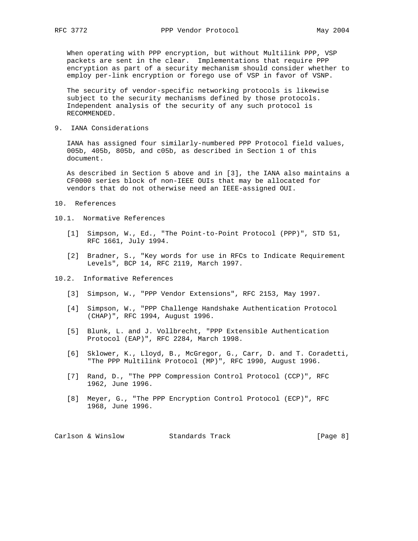When operating with PPP encryption, but without Multilink PPP, VSP packets are sent in the clear. Implementations that require PPP encryption as part of a security mechanism should consider whether to employ per-link encryption or forego use of VSP in favor of VSNP.

 The security of vendor-specific networking protocols is likewise subject to the security mechanisms defined by those protocols. Independent analysis of the security of any such protocol is RECOMMENDED.

9. IANA Considerations

 IANA has assigned four similarly-numbered PPP Protocol field values, 005b, 405b, 805b, and c05b, as described in Section 1 of this document.

 As described in Section 5 above and in [3], the IANA also maintains a CF0000 series block of non-IEEE OUIs that may be allocated for vendors that do not otherwise need an IEEE-assigned OUI.

- 10. References
- 10.1. Normative References
	- [1] Simpson, W., Ed., "The Point-to-Point Protocol (PPP)", STD 51, RFC 1661, July 1994.
	- [2] Bradner, S., "Key words for use in RFCs to Indicate Requirement Levels", BCP 14, RFC 2119, March 1997.
- 10.2. Informative References
	- [3] Simpson, W., "PPP Vendor Extensions", RFC 2153, May 1997.
	- [4] Simpson, W., "PPP Challenge Handshake Authentication Protocol (CHAP)", RFC 1994, August 1996.
	- [5] Blunk, L. and J. Vollbrecht, "PPP Extensible Authentication Protocol (EAP)", RFC 2284, March 1998.
	- [6] Sklower, K., Lloyd, B., McGregor, G., Carr, D. and T. Coradetti, "The PPP Multilink Protocol (MP)", RFC 1990, August 1996.
	- [7] Rand, D., "The PPP Compression Control Protocol (CCP)", RFC 1962, June 1996.
	- [8] Meyer, G., "The PPP Encryption Control Protocol (ECP)", RFC 1968, June 1996.

| Carlson & Winslow | Standards Track | [Page 8] |
|-------------------|-----------------|----------|
|-------------------|-----------------|----------|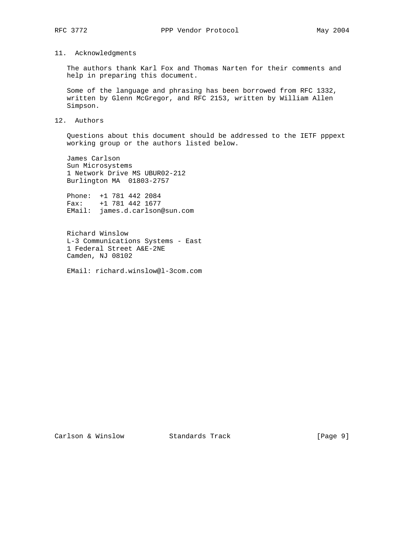# 11. Acknowledgments

 The authors thank Karl Fox and Thomas Narten for their comments and help in preparing this document.

 Some of the language and phrasing has been borrowed from RFC 1332, written by Glenn McGregor, and RFC 2153, written by William Allen Simpson.

## 12. Authors

 Questions about this document should be addressed to the IETF pppext working group or the authors listed below.

 James Carlson Sun Microsystems 1 Network Drive MS UBUR02-212 Burlington MA 01803-2757

 Phone: +1 781 442 2084 Fax: +1 781 442 1677 EMail: james.d.carlson@sun.com

 Richard Winslow L-3 Communications Systems - East 1 Federal Street A&E-2NE Camden, NJ 08102

EMail: richard.winslow@l-3com.com

Carlson & Winslow Standards Track [Page 9]